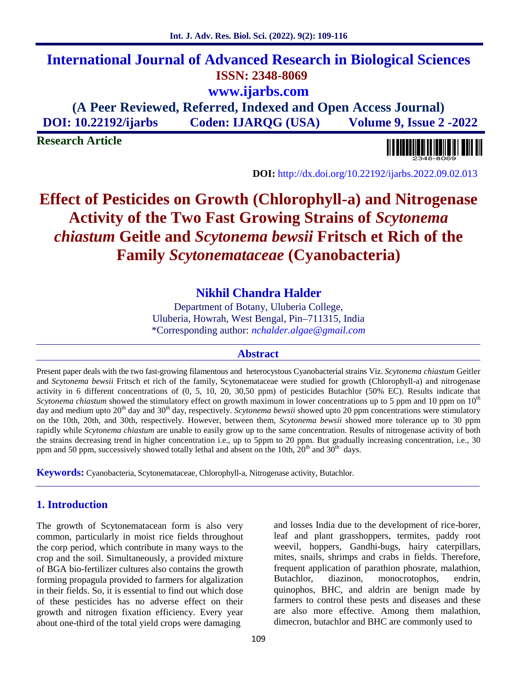## **International Journal of Advanced Research in Biological Sciences ISSN: 2348-8069 www.ijarbs.com**

**(A Peer Reviewed, Referred, Indexed and Open Access Journal) DOI: 10.22192/ijarbs Coden: IJARQG (USA) Volume 9, Issue 2 -2022**

**Research Article**



**DOI:** http://dx.doi.org/10.22192/ijarbs.2022.09.02.013

# **Effect of Pesticides on Growth (Chlorophyll-a) and Nitrogenase Activity of the Two Fast Growing Strains of** *Scytonema chiastum* **Geitle and** *Scytonema bewsii* **Fritsch et Rich of the Family** *Scytonemataceae* **(Cyanobacteria)**

## **Nikhil Chandra Halder**

Department of Botany, Uluberia College, Uluberia, Howrah, West Bengal, Pin–711315, India \*Corresponding author: *nchalder.algae@gmail.com*

#### **Abstract**

Present paper deals with the two fast-growing filamentous and heterocystous Cyanobacterial strains Viz. *Scytonema chiastum* Geitler and *Scytonema bewsii* Fritsch et rich of the family, Scytonemataceae were studied for growth (Chlorophyll-a) and nitrogenase activity in 6 different concentrations of (0, 5, 10, 20, 30,50 ppm) of pesticides Butachlor (50% EC). Results indicate that *Scytonema chiastum* showed the stimulatory effect on growth maximum in lower concentrations up to 5 ppm and 10 ppm on 10<sup>th</sup> day and medium upto 20<sup>th</sup> day and 30<sup>th</sup> day, respectively. *Scytonema bewsii* showed upto 20 ppm concentrations were stimulatory on the 10th, 20th, and 30th, respectively. However, between them, *Scytonema bewsii* showed more tolerance up to 30 ppm rapidly while *Scytonema chiastum* are unable to easily grow up to the same concentration. Results of nitrogenase activity of both the strains decreasing trend in higher concentration i.e., up to 5ppm to 20 ppm. But gradually increasing concentration, i.e., 30 ppm and 50 ppm, successively showed totally lethal and absent on the 10th,  $20<sup>th</sup>$  and  $30<sup>th</sup>$  days.

**Keywords:** Cyanobacteria, Scytonemataceae, Chlorophyll-a, Nitrogenase activity, Butachlor.

## **1. Introduction**

The growth of Scytonematacean form is also very common, particularly in moist rice fields throughout the corp period, which contribute in many ways to the crop and the soil. Simultaneously, a provided mixture of BGA bio-fertilizer cultures also contains the growth frequent approximate form in the form of the form of the butachlor. forming propagula provided to farmers for algalization in their fields. So, it is essential to find out which dose of these pesticides has no adverse effect on their growth and nitrogen fixation efficiency. Every year about one-third of the total yield crops were damaging

and losses India due to the development of rice-borer, leaf and plant grasshoppers, termites, paddy root weevil, hoppers, Gandhi-bugs, hairy caterpillars, mites, snails, shrimps and crabs in fields. Therefore, frequent application of parathion phosrate, malathion, diazinon, monocrotophos, endrin, quinophos, BHC, and aldrin are benign made by farmers to control these pests and diseases and these are also more effective. Among them malathion, dimecron, butachlor and BHC are commonly used to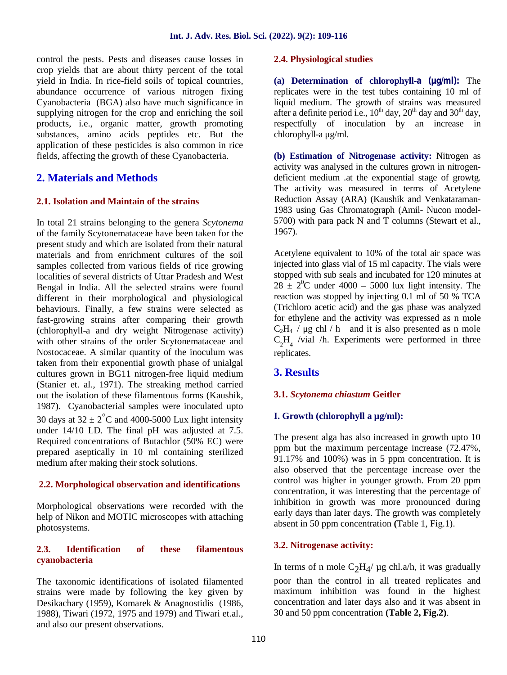control the pests. Pests and diseases cause losses in crop yields that are about thirty percent of the total yield in India. In rice-field soils of topical countries, abundance occurrence of various nitrogen fixing Cyanobacteria (BGA) also have much significance in supplying nitrogen for the crop and enriching the soil products, i.e., organic matter, growth promoting substances, amino acids peptides etc. But the application of these pesticides is also common in rice fields, affecting the growth of these Cyanobacteria.

## **2. Materials and Methods**

#### **2.1. Isolation and Maintain of the strains**

In total 21 strains belonging to the genera *Scytonema* of the family Scytonemataceae have been taken for the present study and which are isolated from their natural materials and from enrichment cultures of the soil samples collected from various fields of rice growing localities of several districts of Uttar Pradesh and West Bengal in India. All the selected strains were found different in their morphological and physiological behaviours. Finally, a few strains were selected as fast-growing strains after comparing their growth (chlorophyll-a and dry weight Nitrogenase activity) with other strains of the order Scytonemataceae and Nostocaceae. A similar quantity of the inoculum was taken from their exponential growth phase of unialgal cultures grown in BG11 nitrogen-free liquid medium (Stanier et. al., 1971). The streaking method carried out the isolation of these filamentous forms (Kaushik, 1987). Cyanobacterial samples were inoculated upto 30 days at  $32 \pm 2^{\circ}$ C and 4000-5000 Lux light intensity under 14/10 LD. The final pH was adjusted at 7.5. Required concentrations of Butachlor (50% EC) were prepared aseptically in 10 ml containing sterilized medium after making their stock solutions.

#### **2.2. Morphological observation and identifications**

Morphological observations were recorded with the help of Nikon and MOTIC microscopes with attaching photosystems.

#### **2.3. Identification of these filamentous cyanobacteria**

The taxonomic identifications of isolated filamented strains were made by following the key given by Desikachary (1959), Komarek & Anagnostidis (1986, 1988), Tiwari (1972, 1975 and 1979) and Tiwari et.al., and also our present observations.

#### **2.4. Physiological studies**

**(a) Determination of chlorophyll-a (μg/ml):** The replicates were in the test tubes containing 10 ml of liquid medium. The growth of strains was measured after a definite period i.e.,  $10^{th}$  day,  $20^{th}$  day and  $30^{th}$  day, respectfully of inoculation by an increase in chlorophyll-a μg/ml.

**(b) Estimation of Nitrogenase activity:** Nitrogen as activity was analysed in the cultures grown in nitrogen deficient medium .at the exponential stage of growtg. The activity was measured in terms of Acetylene Reduction Assay (ARA) (Kaushik and Venkataraman- 1983 using Gas Chromatograph (Amil- Nucon model- 5700) with para pack N and T columns (Stewart et al., 1967).

Acetylene equivalent to 10% of the total air space was injected into glass vial of 15 ml capacity. The vials were stopped with sub seals and incubated for 120 minutes at  $28 \pm 2^{0}$ C under 4000 – 5000 lux light intensity. The reaction was stopped by injecting 0.1 ml of 50 % TCA (Trichloro acetic acid) and the gas phase was analyzed for ethylene and the activity was expressed as n mole  $C_2H_4$  /  $\mu$ g chl / h and it is also presented as n mole  $C_2H_4$  /vial /h. Experiments were performed in three replicates.

## **3. Results**

#### **3.1.** *Scytonema chiastum* **Geitler**

#### **I. Growth (chlorophyll a µg/ml):**

The present alga has also increased in growth upto 10 ppm but the maximum percentage increase (72.47%, 91.17% and 100%) was in 5 ppm concentration. It is also observed that the percentage increase over the control was higher in younger growth. From 20 ppm concentration, it was interesting that the percentage of inhibition in growth was more pronounced during early days than later days. The growth was completely absent in 50 ppm concentration **(**Table 1, Fig.1).

#### **3.2. Nitrogenase activity:**

In terms of n mole  $C_2H_4$ / µg chl.a/h, it was gradually poor than the control in all treated replicates and maximum inhibition was found in the highest concentration and later days also and it was absent in 30 and 50 ppm concentration **(Table 2, Fig.2)**.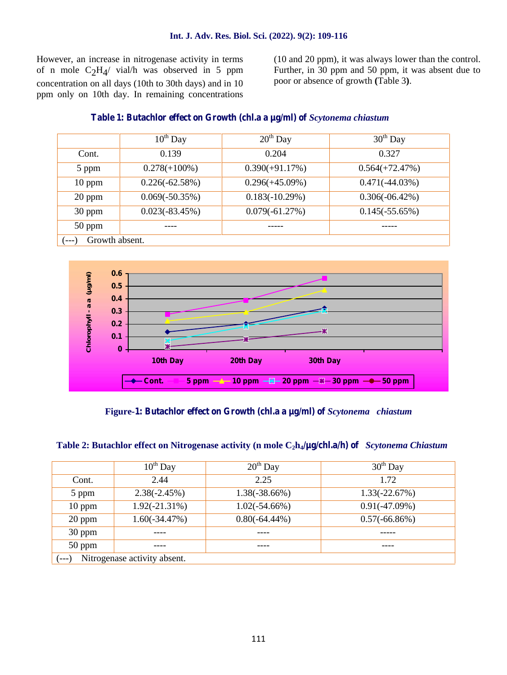However, an increase in nitrogenase activity in terms of n mole  $C_2H_4$  vial/h was observed in 5 ppm Furthe concentration on all days (10th to 30th days) and in 10 ppm only on 10th day. In remaining concentrations

(10 and 20 ppm), it was always lower than the control. Further, in 30 ppm and 50 ppm, it was absent due to poor or absence of growth **(**Table 3**)**.

#### **Table 1: Butachlor effect on Growth (chl.a a μg/ml) of** *Scytonema chiastum*

|                         | $10^{th}$ Day     | $20th$ Day        | $30th$ Day        |
|-------------------------|-------------------|-------------------|-------------------|
| Cont.                   | 0.139             | 0.204             | 0.327             |
| 5 ppm                   | $0.278(+100\%)$   | $0.390(+91.17%)$  | $0.564(+72.47%)$  |
| $10$ ppm                | $0.226(-62.58%)$  | $0.296(+45.09\%)$ | $0.471(-44.03\%)$ |
| 20 ppm                  | $0.069(-50.35\%)$ | $0.183(-10.29%)$  | $0.306(-06.42\%)$ |
| 30 ppm                  | $0.023(-83.45%)$  | $0.079(-61.27%)$  | $0.145(-55.65%)$  |
| $50$ ppm                |                   |                   |                   |
| Growth absent.<br>$---$ |                   |                   |                   |



**Figure-1: Butachlor effect on Growth (chl.a a μg/ml) of** *Scytonema chiastum*

| Table 2: Butachlor effect on Nitrogenase activity (n mole $C_2h_4/\mu g$ /chl.a/h) of <i>Scytonema Chiastum</i> |  |
|-----------------------------------------------------------------------------------------------------------------|--|
|-----------------------------------------------------------------------------------------------------------------|--|

|                                     | $10^{th}$ Day    | $20th$ Day       | $30th$ Day      |
|-------------------------------------|------------------|------------------|-----------------|
| Cont.                               | 2.44             | 2.25             | 1.72            |
| 5 ppm                               | $2.38(-2.45%)$   | $1.38(-38.66%)$  | $1.33(-22.67%)$ |
| $10$ ppm                            | $1.92(-21.31\%)$ | $1.02(-54.66\%)$ | $0.91(-47.09%)$ |
| 20 ppm                              | $1.60(-34.47%)$  | $0.80(-64.44\%)$ | $0.57(-66.86%)$ |
| 30 ppm                              |                  |                  |                 |
| 50 ppm                              |                  |                  | ----            |
| Nitrogenase activity absent.<br>--- |                  |                  |                 |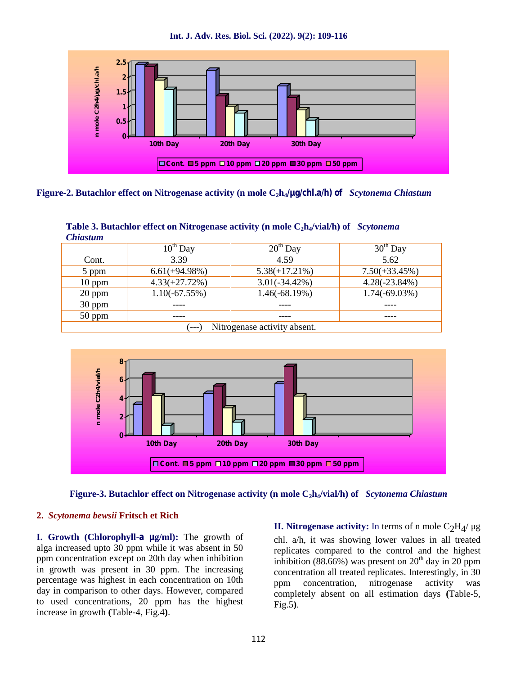**Int. J. Adv. Res. Biol. Sci. (2022). 9(2): 109-116**



**Figure-2. Butachlor effect on Nitrogenase activity (n mole C2h4/μg/chl.a/h) of** *Scytonema Chiastum*

| Chiastum                     |                  |                  |                  |
|------------------------------|------------------|------------------|------------------|
|                              | $10^{th}$ Day    | $20th$ Day       | $30th$ Day       |
| Cont.                        | 3.39             | 4.59             | 5.62             |
| 5 ppm                        | $6.61(+94.98\%)$ | $5.38(+17.21\%)$ | $7.50(+33.45\%)$ |
| $10$ ppm                     | $4.33(+27.72\%)$ | $3.01(-34.42\%)$ | $4.28(-23.84%)$  |
| $20$ ppm                     | $1.10(-67.55%)$  | $1.46(-68.19%)$  | $1.74(-69.03\%)$ |
| $30$ ppm                     |                  |                  |                  |
| $50$ ppm                     |                  |                  |                  |
| Nitrogenase activity absent. |                  |                  |                  |

| Table 3. Butachlor effect on Nitrogenase activity (n mole $C_2h_4/vial/h$ ) of Scytonema |  |
|------------------------------------------------------------------------------------------|--|
| <b>Chiastum</b>                                                                          |  |





#### **2.** *Scytonema bewsii* **Fritsch et Rich**

**I. Growth (Chlorophyll-a μg/ml):** The growth of alga increased upto 30 ppm while it was absent in 50 ppm concentration except on 20th day when inhibition in growth was present in 30 ppm. The increasing percentage was highest in each concentration on 10th ppm day in comparison to other days. However, compared to used concentrations, 20 ppm has the highest increase in growth **(**Table-4, Fig.4**)**.

**II. Nitrogenase activity:** In terms of n mole  $\rm{C_2H_4/}$  μg

chl. a/h, it was showing lower values in all treated replicates compared to the control and the highest inhibition (88.66%) was present on  $20<sup>th</sup>$  day in 20 ppm concentration all treated replicates. Interestingly, in 30 concentration, nitrogenase activity was completely absent on all estimation days **(**Table-5, Fig.5**)**.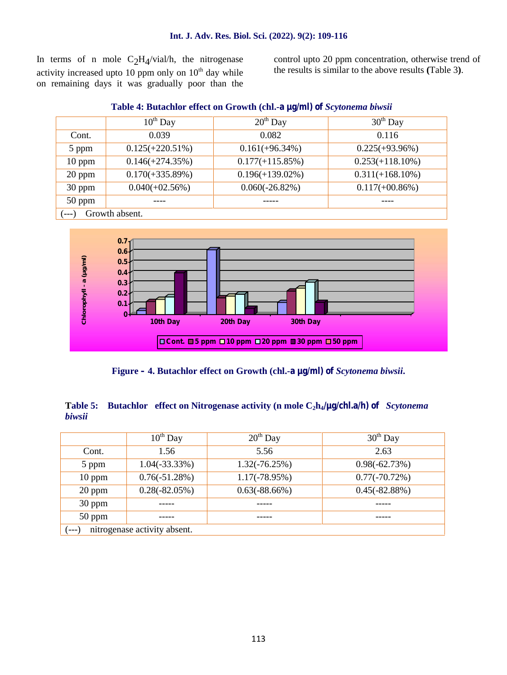In terms of n mole  $C_2H_4/vial/h$ , the nitrogenase activity increased upto 10 ppm only on  $10^{th}$  day while on remaining days it was gradually poor than the

control upto 20 ppm concentration, otherwise trend of the results is similar to the above results **(**Table 3**)**.

|                          | $10^{th}$ Day      | $20th$ Day         | $30th$ Day         |
|--------------------------|--------------------|--------------------|--------------------|
| Cont.                    | 0.039              | 0.082              | 0.116              |
| 5 ppm                    | $0.125(+220.51\%)$ | $0.161(+96.34%)$   | $0.225(+93.96\%)$  |
| $10$ ppm                 | $0.146(+274.35%)$  | $0.177(+115.85\%)$ | $0.253(+118.10\%)$ |
| $20$ ppm                 | $0.170(+335.89%)$  | $0.196(+139.02\%)$ | $0.311(+168.10\%)$ |
| 30 ppm                   | $0.040(+02.56%)$   | $0.060(-26.82\%)$  | $0.117(+00.86\%)$  |
| 50 ppm                   |                    |                    |                    |
| Growth absent.<br>$---)$ |                    |                    |                    |

#### **Table 4: Butachlor effect on Growth (chl.-a μg/ml) of** *Scytonema biwsii*



**Figure – 4. Butachlor effect on Growth (chl.-a μg/ml) of** *Scytonema biwsii***.**

#### **Table 5: Butachlor effect on Nitrogenase activity (n mole C2h4/μg/chl.a/h) of** *Scytonema biwsii*

|                              | $10^{th}$ Day    | $20th$ Day       | $30th$ Day      |
|------------------------------|------------------|------------------|-----------------|
| Cont.                        | 1.56             | 5.56             | 2.63            |
| 5 ppm                        | $1.04(-33.33\%)$ | $1.32(-76.25%)$  | $0.98(-62.73%)$ |
| $10$ ppm                     | $0.76(-51.28%)$  | $1.17(-78.95\%)$ | $0.77(-70.72%)$ |
| 20 ppm                       | $0.28(-82.05%)$  | $0.63(-88.66%)$  | $0.45(-82.88%)$ |
| 30 ppm                       |                  |                  |                 |
| 50 ppm                       |                  |                  |                 |
| nitrogenase activity absent. |                  |                  |                 |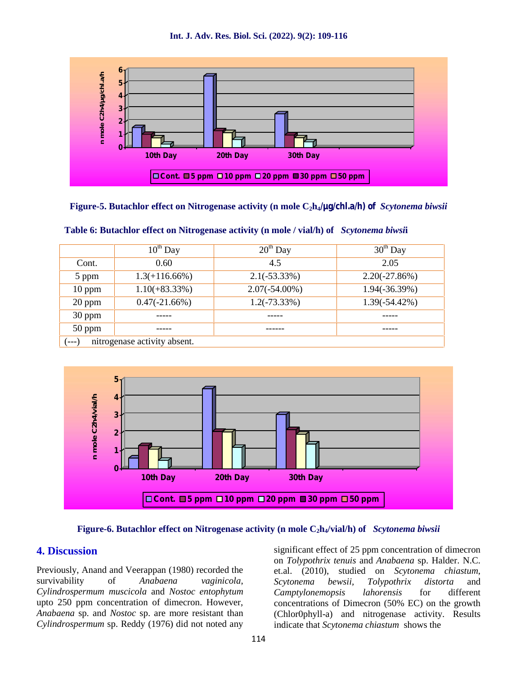**Int. J. Adv. Res. Biol. Sci. (2022). 9(2): 109-116**



#### **Figure-5. Butachlor effect on Nitrogenase activity (n mole C2h4/μg/chl.a/h) of** *Scytonema biwsii*

|                                       | $10^{th}$ Day    | $20th$ Day       | $30th$ Day       |
|---------------------------------------|------------------|------------------|------------------|
| Cont.                                 | 0.60             | 4.5              | 2.05             |
| 5 ppm                                 | $1.3(+116.66\%)$ | $2.1(-53.33\%)$  | $2.20(-27.86%)$  |
| $10$ ppm                              | $1.10(+83.33\%)$ | $2.07(-54.00\%)$ | $1.94(-36.39%)$  |
| $20$ ppm                              | $0.47(-21.66%)$  | $1.2(-73.33\%)$  | $1.39(-54.42\%)$ |
| 30 ppm                                |                  |                  |                  |
| $50$ ppm                              |                  |                  |                  |
| nitrogenase activity absent.<br>$---$ |                  |                  |                  |

**Table 6: Butachlor effect on Nitrogenase activity (n mole / vial/h) of** *Scytonema biwsi***i**



#### **Figure-6. Butachlor effect on Nitrogenase activity (n mole C2h4/vial/h) of** *Scytonema biwsii*

#### **4. Discussion**

Previously, Anand and Veerappan (1980) recorded the survivability of *Anabaena vaginicola*, *Cylindrospermum muscicola* and *Nostoc entophytum* upto 250 ppm concentration of dimecron. However, *Anabaena* sp. and *Nostoc* sp. are more resistant than *Cylindrospermum* sp. Reddy (1976) did not noted any significant effect of 25 ppm concentration of dimecron on *Tolypothrix tenuis* and *Anabaena* sp. Halder. N.C. et.al. (2010), studied on *Scytonema chiastum*, *Scytonema bewsii, Tolypothrix distorta* and *Camptylonemopsis lahorensis* for different concentrations of Dimecron (50% EC) on the growth (Chlor0phyll-a) and nitrogenase activity. Results indicate that *Scytonema chiastum* shows the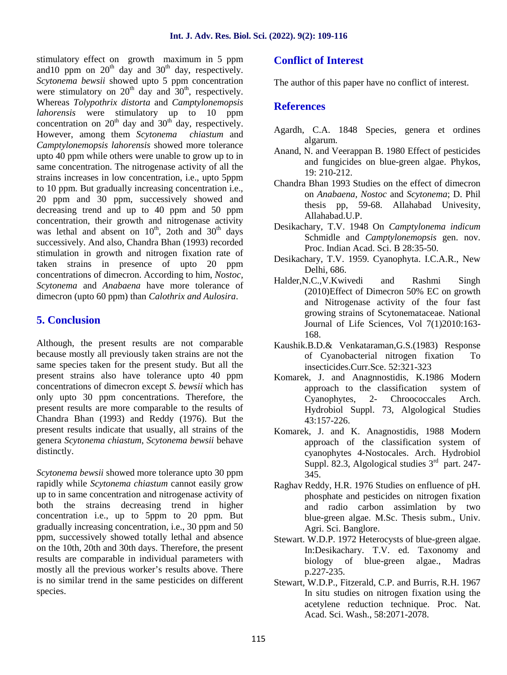stimulatory effect on growth maximum in 5 ppm and 10 ppm on  $20<sup>th</sup>$  day and  $30<sup>th</sup>$  day, respectively. *Scytonema bewsii* showed upto 5 ppm concentration were stimulatory on  $20^{th}$  day and  $30^{th}$ , respectively. Whereas *Tolypothrix distorta* and *Camptylonemopsis lahorensis* were stimulatory up to 10 ppm concentration on  $20^{th}$  day and  $30^{th}$  day, respectively. However, among them *Scytonema chiastum* and *Camptylonemopsis lahorensis* showed more tolerance upto 40 ppm while others were unable to grow up to in same concentration. The nitrogenase activity of all the strains increases in low concentration, i.e., upto 5ppm to 10 ppm. But gradually increasing concentration i.e., 20 ppm and 30 ppm, successively showed and decreasing trend and up to 40 ppm and 50 ppm concentration, their growth and nitrogenase activity was lethal and absent on  $10^{th}$ , 2oth and  $30^{th}$  days successively. And also, Chandra Bhan (1993) recorded stimulation in growth and nitrogen fixation rate of taken strains in presence of upto 20 ppm concentrations of dimecron. According to him, *Nostoc, Scytonema* and *Anabaena* have more tolerance of dimecron (upto 60 ppm) than *Calothrix and Aulosira*.

## **5. Conclusion**

Although, the present results are not comparable because mostly all previously taken strains are not the same species taken for the present study. But all the present strains also have tolerance upto 40 ppm concentrations of dimecron except *S. bewsii* which has only upto 30 ppm concentrations. Therefore, the present results are more comparable to the results of Chandra Bhan (1993) and Reddy (1976). But the present results indicate that usually, all strains of the genera *Scytonema chiastum*, *Scytonema bewsii* behave distinctly.

*Scytonema bewsii* showed more tolerance upto 30 ppm rapidly while *Scytonema chiastum* cannot easily grow up to in same concentration and nitrogenase activity of both the strains decreasing trend in higher concentration i.e., up to 5ppm to 20 ppm. But gradually increasing concentration, i.e., 30 ppm and 50 ppm, successively showed totally lethal and absence on the 10th, 20th and 30th days. Therefore, the present results are comparable in individual parameters with mostly all the previous worker's results above. There is no similar trend in the same pesticides on different species.

## **Conflict of Interest**

The author of this paper have no conflict of interest.

## **References**

- Agardh, C.A. 1848 Species, genera et ordines algarum.
- Anand, N. and Veerappan B. 1980 Effect of pesticides and fungicides on blue-green algae. Phykos, 19: 210-212.
- Chandra Bhan 1993 Studies on the effect of dimecron on *Anabaena, Nostoc* and *Scytonema*; D. Phil thesis pp, 59-68. Allahabad Univesity, Allahabad.U.P.
- Desikachary, T.V. 1948 On *Camptylonema indicum* Schmidle and *Camptylonemopsis* gen. nov. Proc. Indian Acad. Sci. B 28:35-50.
- Desikachary, T.V. 1959. Cyanophyta. I.C.A.R., New Delhi, 686.
- Halder,N.C.,V.Kwivedi and Rashmi Singh (2010)Effect of Dimecron 50% EC on growth and Nitrogenase activity of the four fast growing strains of Scytonemataceae. National Journal of Life Sciences, Vol 7(1)2010:163- 168.
- Kaushik.B.D.& Venkataraman,G.S.(1983) Response of Cyanobacterial nitrogen fixation To insecticides.Curr.Sce. 52:321-323
- Komarek, J. and Anagnnostidis, K.1986 Modern approach to the classification system of Cyanophytes, 2- Chroococcales Arch. Hydrobiol Suppl. 73, Algological Studies 43:157-226.
- Komarek, J. and K. Anagnostidis, 1988 Modern approach of the classification system of cyanophytes 4-Nostocales. Arch. Hydrobiol Suppl. 82.3, Algological studies 3<sup>rd</sup> part. 247-345.
- Raghav Reddy, H.R. 1976 Studies on enfluence of pH. phosphate and pesticides on nitrogen fixation and radio carbon assimlation by two blue-green algae. M.Sc. Thesis subm., Univ. Agri. Sci. Banglore.
- Stewart. W.D.P. 1972 Heterocysts of blue-green algae. In:Desikachary. T.V. ed. Taxonomy and biology of blue-green algae., Madras p.227-235.
- Stewart, W.D.P., Fitzerald, C.P. and Burris, R.H. 1967 In situ studies on nitrogen fixation using the acetylene reduction technique. Proc. Nat. Acad. Sci. Wash., 58:2071-2078.